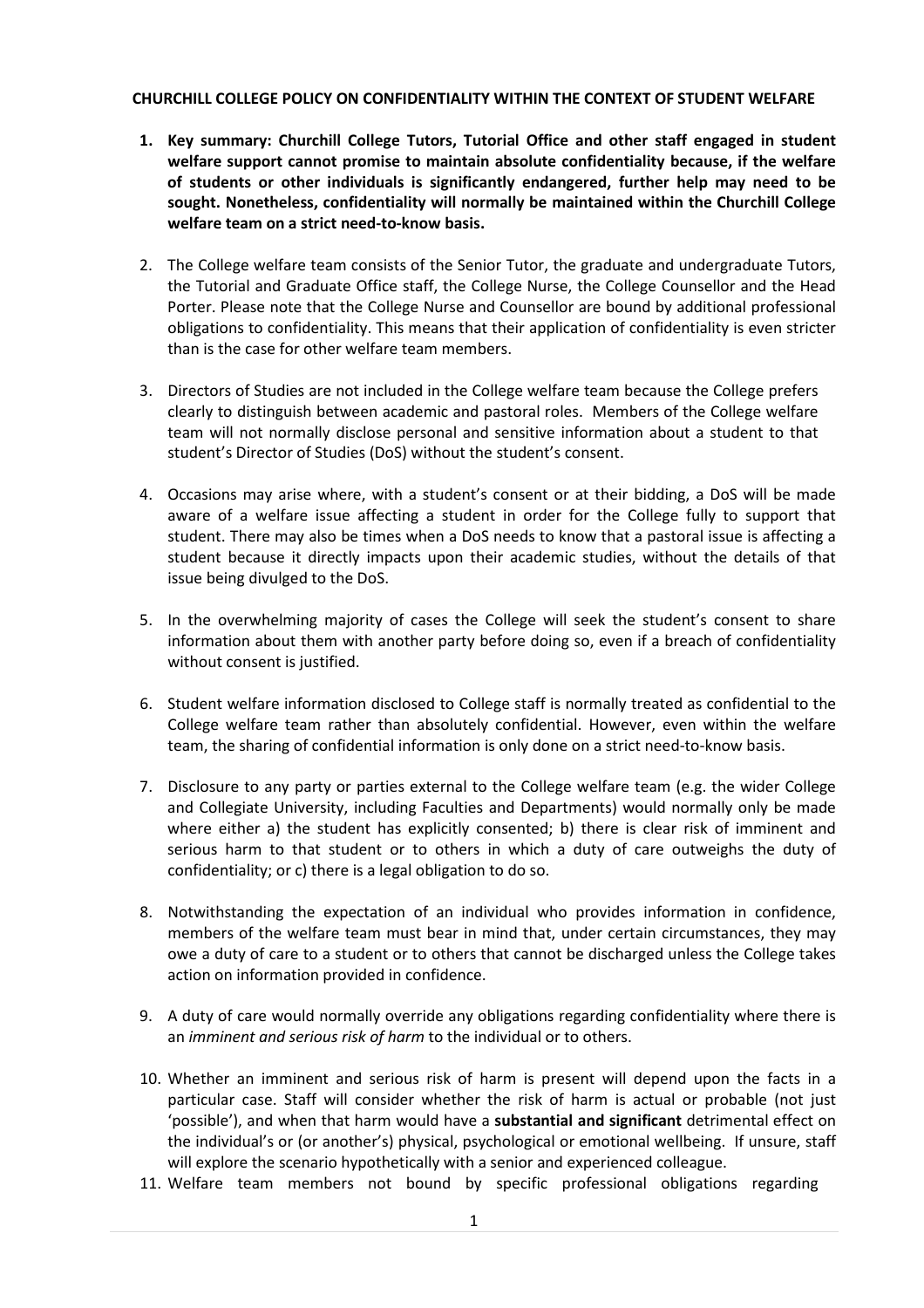## **CHURCHILL COLLEGE POLICY ON CONFIDENTIALITY WITHIN THE CONTEXT OF STUDENT WELFARE**

- **1. Key summary: Churchill College Tutors, Tutorial Office and other staff engaged in student welfare support cannot promise to maintain absolute confidentiality because, if the welfare of students or other individuals is significantly endangered, further help may need to be sought. Nonetheless, confidentiality will normally be maintained within the Churchill College welfare team on a strict need-to-know basis.**
- 2. The College welfare team consists of the Senior Tutor, the graduate and undergraduate Tutors, the Tutorial and Graduate Office staff, the College Nurse, the College Counsellor and the Head Porter. Please note that the College Nurse and Counsellor are bound by additional professional obligations to confidentiality. This means that their application of confidentiality is even stricter than is the case for other welfare team members.
- 3. Directors of Studies are not included in the College welfare team because the College prefers clearly to distinguish between academic and pastoral roles. Members of the College welfare team will not normally disclose personal and sensitive information about a student to that student's Director of Studies (DoS) without the student's consent.
- 4. Occasions may arise where, with a student's consent or at their bidding, a DoS will be made aware of a welfare issue affecting a student in order for the College fully to support that student. There may also be times when a DoS needs to know that a pastoral issue is affecting a student because it directly impacts upon their academic studies, without the details of that issue being divulged to the DoS.
- 5. In the overwhelming majority of cases the College will seek the student's consent to share information about them with another party before doing so, even if a breach of confidentiality without consent is justified.
- 6. Student welfare information disclosed to College staff is normally treated as confidential to the College welfare team rather than absolutely confidential. However, even within the welfare team, the sharing of confidential information is only done on a strict need-to-know basis.
- 7. Disclosure to any party or parties external to the College welfare team (e.g. the wider College and Collegiate University, including Faculties and Departments) would normally only be made where either a) the student has explicitly consented; b) there is clear risk of imminent and serious harm to that student or to others in which a duty of care outweighs the duty of confidentiality; or c) there is a legal obligation to do so.
- 8. Notwithstanding the expectation of an individual who provides information in confidence, members of the welfare team must bear in mind that, under certain circumstances, they may owe a duty of care to a student or to others that cannot be discharged unless the College takes action on information provided in confidence.
- 9. A duty of care would normally override any obligations regarding confidentiality where there is an *imminent and serious risk of harm* to the individual or to others.
- 10. Whether an imminent and serious risk of harm is present will depend upon the facts in a particular case. Staff will consider whether the risk of harm is actual or probable (not just 'possible'), and when that harm would have a **substantial and significant** detrimental effect on the individual's or (or another's) physical, psychological or emotional wellbeing. If unsure, staff will explore the scenario hypothetically with a senior and experienced colleague.
- 11. Welfare team members not bound by specific professional obligations regarding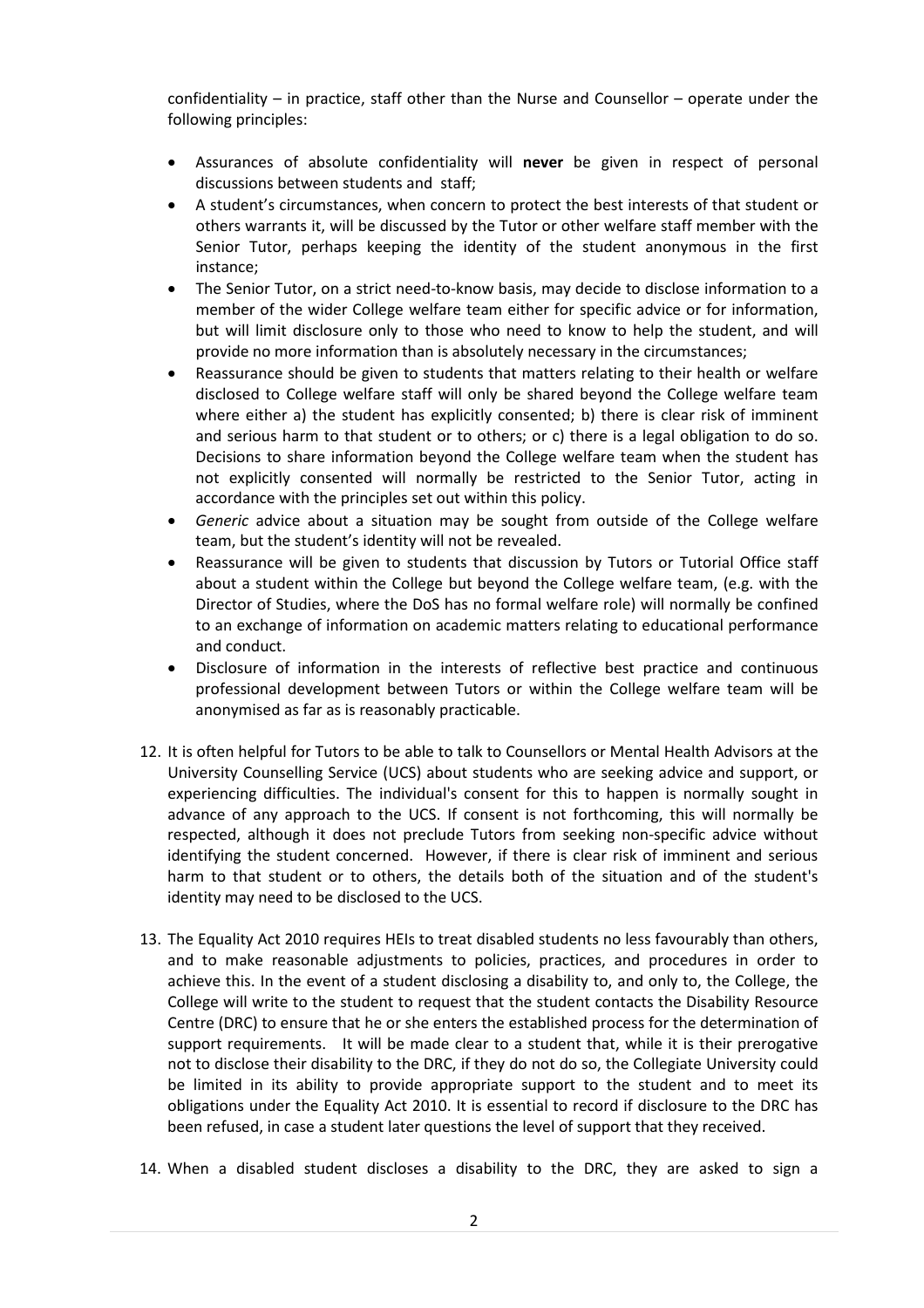confidentiality – in practice, staff other than the Nurse and Counsellor – operate under the following principles:

- Assurances of absolute confidentiality will **never** be given in respect of personal discussions between students and staff;
- A student's circumstances, when concern to protect the best interests of that student or others warrants it, will be discussed by the Tutor or other welfare staff member with the Senior Tutor, perhaps keeping the identity of the student anonymous in the first instance;
- The Senior Tutor, on a strict need-to-know basis, may decide to disclose information to a member of the wider College welfare team either for specific advice or for information, but will limit disclosure only to those who need to know to help the student, and will provide no more information than is absolutely necessary in the circumstances;
- Reassurance should be given to students that matters relating to their health or welfare disclosed to College welfare staff will only be shared beyond the College welfare team where either a) the student has explicitly consented; b) there is clear risk of imminent and serious harm to that student or to others; or c) there is a legal obligation to do so. Decisions to share information beyond the College welfare team when the student has not explicitly consented will normally be restricted to the Senior Tutor, acting in accordance with the principles set out within this policy.
- *Generic* advice about a situation may be sought from outside of the College welfare team, but the student's identity will not be revealed.
- Reassurance will be given to students that discussion by Tutors or Tutorial Office staff about a student within the College but beyond the College welfare team, (e.g. with the Director of Studies, where the DoS has no formal welfare role) will normally be confined to an exchange of information on academic matters relating to educational performance and conduct.
- Disclosure of information in the interests of reflective best practice and continuous professional development between Tutors or within the College welfare team will be anonymised as far as is reasonably practicable.
- 12. It is often helpful for Tutors to be able to talk to Counsellors or Mental Health Advisors at the University Counselling Service (UCS) about students who are seeking advice and support, or experiencing difficulties. The individual's consent for this to happen is normally sought in advance of any approach to the UCS. If consent is not forthcoming, this will normally be respected, although it does not preclude Tutors from seeking non-specific advice without identifying the student concerned. However, if there is clear risk of imminent and serious harm to that student or to others, the details both of the situation and of the student's identity may need to be disclosed to the UCS.
- 13. The Equality Act 2010 requires HEIs to treat disabled students no less favourably than others, and to make reasonable adjustments to policies, practices, and procedures in order to achieve this. In the event of a student disclosing a disability to, and only to, the College, the College will write to the student to request that the student contacts the Disability Resource Centre (DRC) to ensure that he or she enters the established process for the determination of support requirements. It will be made clear to a student that, while it is their prerogative not to disclose their disability to the DRC, if they do not do so, the Collegiate University could be limited in its ability to provide appropriate support to the student and to meet its obligations under the Equality Act 2010. It is essential to record if disclosure to the DRC has been refused, in case a student later questions the level of support that they received.
- 14. When a disabled student discloses a disability to the DRC, they are asked to sign a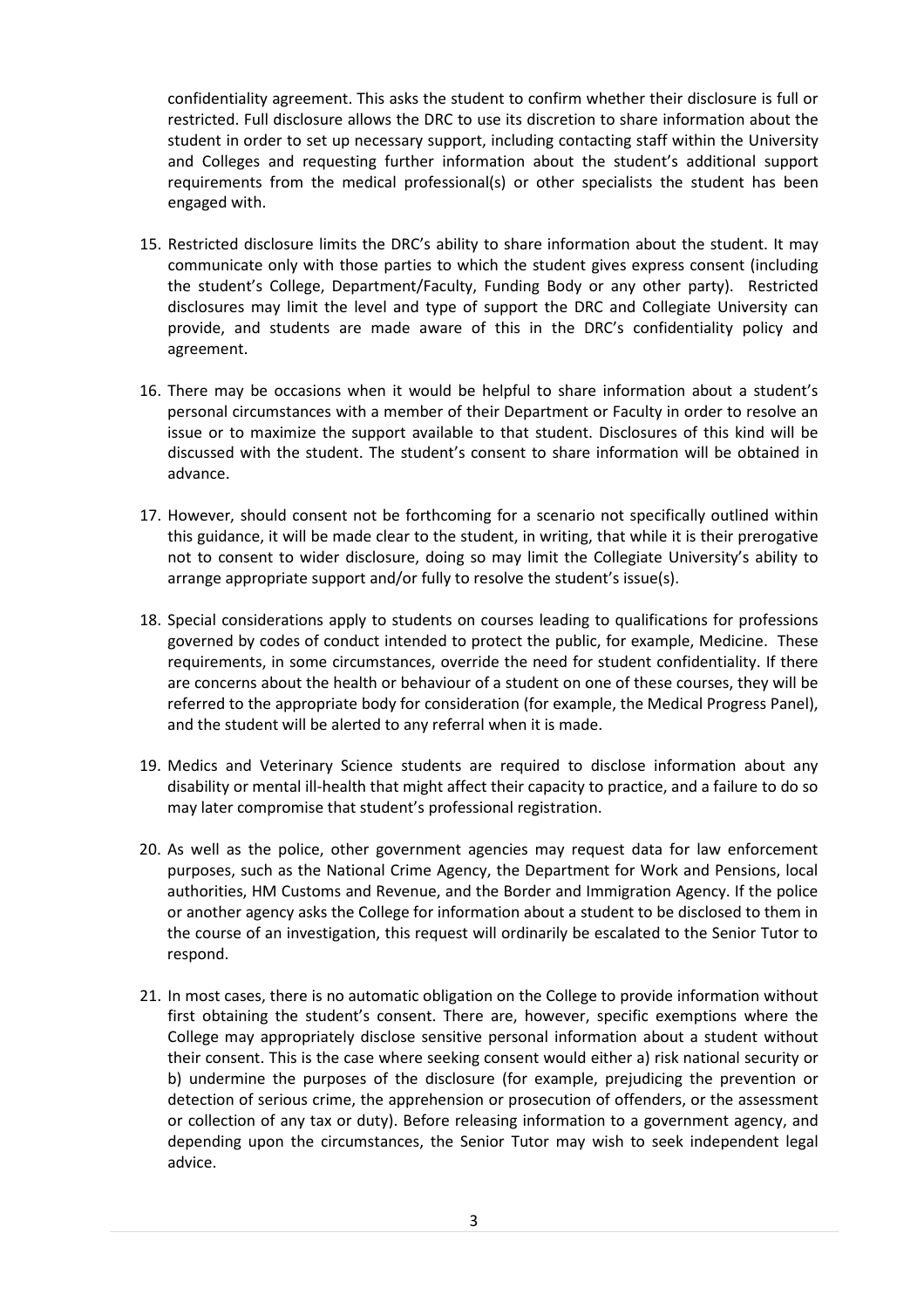confidentiality agreement. This asks the student to confirm whether their disclosure is full or restricted. Full disclosure allows the DRC to use its discretion to share information about the student in order to set up necessary support, including contacting staff within the University and Colleges and requesting further information about the student's additional support requirements from the medical professional(s) or other specialists the student has been engaged with.

- 15. Restricted disclosure limits the DRC's ability to share information about the student. It may communicate only with those parties to which the student gives express consent (including the student's College, Department/Faculty, Funding Body or any other party). Restricted disclosures may limit the level and type of support the DRC and Collegiate University can provide, and students are made aware of this in the DRC's confidentiality policy and agreement.
- 16. There may be occasions when it would be helpful to share information about a student's personal circumstances with a member of their Department or Faculty in order to resolve an issue or to maximize the support available to that student. Disclosures of this kind will be discussed with the student. The student's consent to share information will be obtained in advance.
- 17. However, should consent not be forthcoming for a scenario not specifically outlined within this guidance, it will be made clear to the student, in writing, that while it is their prerogative not to consent to wider disclosure, doing so may limit the Collegiate University's ability to arrange appropriate support and/or fully to resolve the student's issue(s).
- 18. Special considerations apply to students on courses leading to qualifications for professions governed by codes of conduct intended to protect the public, for example, Medicine. These requirements, in some circumstances, override the need for student confidentiality. If there are concerns about the health or behaviour of a student on one of these courses, they will be referred to the appropriate body for consideration (for example, the Medical Progress Panel), and the student will be alerted to any referral when it is made.
- 19. Medics and Veterinary Science students are required to disclose information about any disability or mental ill-health that might affect their capacity to practice, and a failure to do so may later compromise that student's professional registration.
- 20. As well as the police, other government agencies may request data for law enforcement purposes, such as the National Crime Agency, the Department for Work and Pensions, local authorities, HM Customs and Revenue, and the Border and Immigration Agency. If the police or another agency asks the College for information about a student to be disclosed to them in the course of an investigation, this request will ordinarily be escalated to the Senior Tutor to respond.
- 21. In most cases, there is no automatic obligation on the College to provide information without first obtaining the student's consent. There are, however, specific exemptions where the College may appropriately disclose sensitive personal information about a student without their consent. This is the case where seeking consent would either a) risk national security or b) undermine the purposes of the disclosure (for example, prejudicing the prevention or detection of serious crime, the apprehension or prosecution of offenders, or the assessment or collection of any tax or duty). Before releasing information to a government agency, and depending upon the circumstances, the Senior Tutor may wish to seek independent legal advice.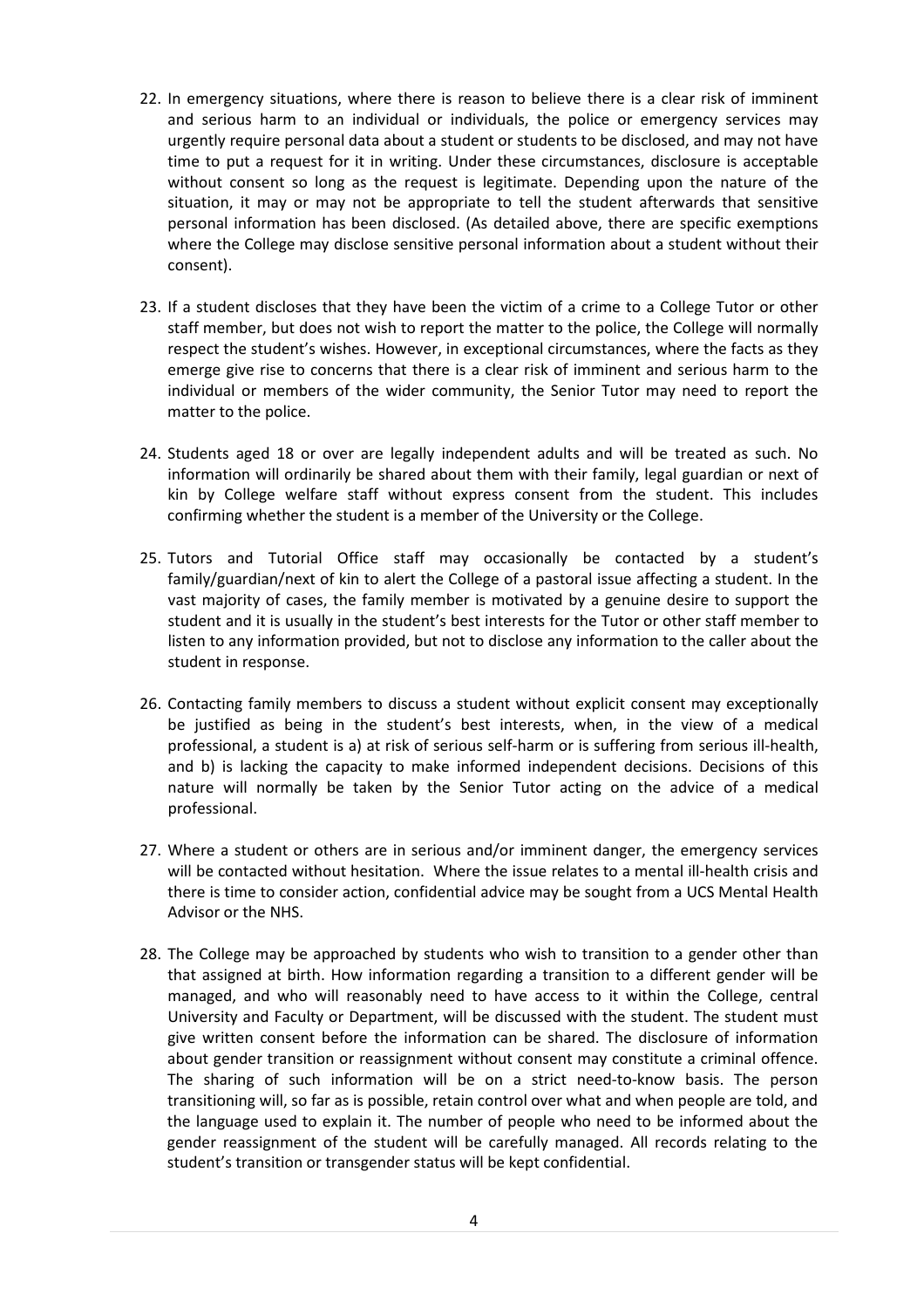- 22. In emergency situations, where there is reason to believe there is a clear risk of imminent and serious harm to an individual or individuals, the police or emergency services may urgently require personal data about a student or students to be disclosed, and may not have time to put a request for it in writing. Under these circumstances, disclosure is acceptable without consent so long as the request is legitimate. Depending upon the nature of the situation, it may or may not be appropriate to tell the student afterwards that sensitive personal information has been disclosed. (As detailed above, there are specific exemptions where the College may disclose sensitive personal information about a student without their consent).
- 23. If a student discloses that they have been the victim of a crime to a College Tutor or other staff member, but does not wish to report the matter to the police, the College will normally respect the student's wishes. However, in exceptional circumstances, where the facts as they emerge give rise to concerns that there is a clear risk of imminent and serious harm to the individual or members of the wider community, the Senior Tutor may need to report the matter to the police.
- 24. Students aged 18 or over are legally independent adults and will be treated as such. No information will ordinarily be shared about them with their family, legal guardian or next of kin by College welfare staff without express consent from the student. This includes confirming whether the student is a member of the University or the College.
- 25. Tutors and Tutorial Office staff may occasionally be contacted by a student's family/guardian/next of kin to alert the College of a pastoral issue affecting a student. In the vast majority of cases, the family member is motivated by a genuine desire to support the student and it is usually in the student's best interests for the Tutor or other staff member to listen to any information provided, but not to disclose any information to the caller about the student in response.
- 26. Contacting family members to discuss a student without explicit consent may exceptionally be justified as being in the student's best interests, when, in the view of a medical professional, a student is a) at risk of serious self-harm or is suffering from serious ill-health, and b) is lacking the capacity to make informed independent decisions. Decisions of this nature will normally be taken by the Senior Tutor acting on the advice of a medical professional.
- 27. Where a student or others are in serious and/or imminent danger, the emergency services will be contacted without hesitation. Where the issue relates to a mental ill-health crisis and there is time to consider action, confidential advice may be sought from a UCS Mental Health Advisor or the NHS.
- 28. The College may be approached by students who wish to transition to a gender other than that assigned at birth. How information regarding a transition to a different gender will be managed, and who will reasonably need to have access to it within the College, central University and Faculty or Department, will be discussed with the student. The student must give written consent before the information can be shared. The disclosure of information about gender transition or reassignment without consent may constitute a criminal offence. The sharing of such information will be on a strict need-to-know basis. The person transitioning will, so far as is possible, retain control over what and when people are told, and the language used to explain it. The number of people who need to be informed about the gender reassignment of the student will be carefully managed. All records relating to the student's transition or transgender status will be kept confidential.